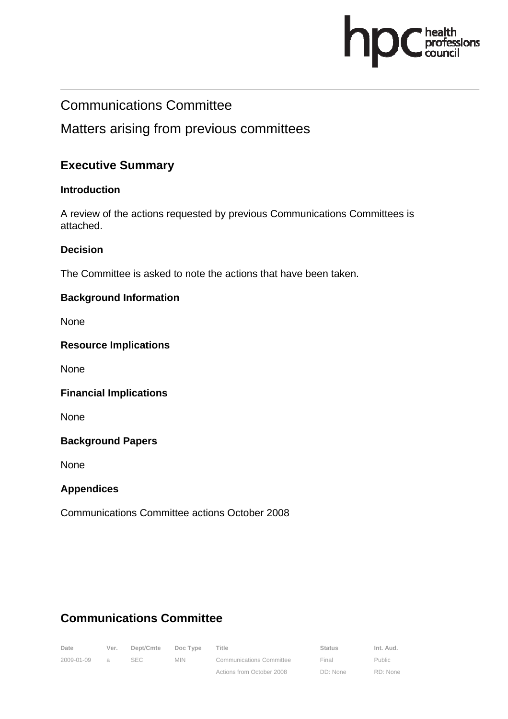

# Communications Committee

## Matters arising from previous committees

### **Executive Summary**

#### **Introduction**

A review of the actions requested by previous Communications Committees is attached.

#### **Decision**

The Committee is asked to note the actions that have been taken.

#### **Background Information**

None

#### **Resource Implications**

None

#### **Financial Implications**

None

#### **Background Papers**

None

#### **Appendices**

Communications Committee actions October 2008

# **Communications Committee**

| Date       | Ver.     | Dept/Cmte | Doc Type | Title                           | <b>Status</b> | Int. Aud.     |
|------------|----------|-----------|----------|---------------------------------|---------------|---------------|
| 2009-01-09 | $\alpha$ | SEC -     | MIN.     | <b>Communications Committee</b> | Final         | <b>Public</b> |
|            |          |           |          | Actions from October 2008       | DD: None      | RD: None      |